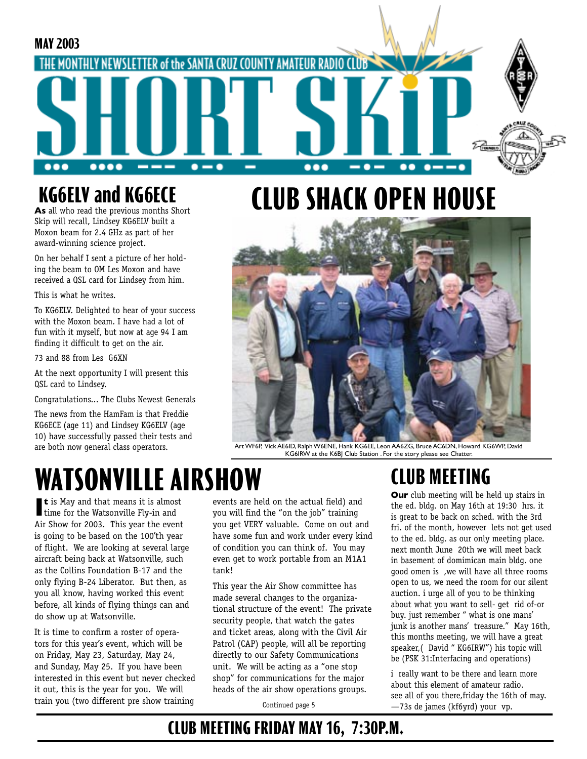#### **MAY 2003** THE MONTHLY NEWSLETTER of the SANTA CRUZ COUNTY AMATEUR RADIO  $\bullet\bullet\bullet$  $\bullet\bullet\bullet\bullet$  $\bullet-\bullet$ ---...  $\bullet$   $\bullet\bullet$  $\bullet$   $\bullet$

## **KG6ELV and KG6ECE**

**As** all who read the previous months Short Skip will recall, Lindsey KG6ELV built a Moxon beam for 2.4 GHz as part of her award-winning science project.

On her behalf I sent a picture of her holding the beam to OM Les Moxon and have received a QSL card for Lindsey from him.

This is what he writes.

To KG6ELV. Delighted to hear of your success with the Moxon beam. I have had a lot of fun with it myself, but now at age 94 I am finding it difficult to get on the air.

73 and 88 from Les G6XN

At the next opportunity I will present this QSL card to Lindsey.

Congratulations... The Clubs Newest Generals

The news from the HamFam is that Freddie KG6ECE (age 11) and Lindsey KG6ELV (age 10) have successfully passed their tests and are both now general class operators.

# **CLUB SHACK OPEN HOUSE**



Art WF6P, Vick AE6ID, Ralph W6ENE, Hank KG6EE, Leon AA6ZG, Bruce AC6DN, Howard KG6WP, David KG6IRW at the K6BJ Club Station . For the story please see Chatter.

# **WATSONVILLE AIRSHOW**

**t** is May and that means it is almost time for the Watsonville Fly-in and **t** is May and that means it is almost Air Show for 2003. This year the event is going to be based on the 100'th year of flight. We are looking at several large aircraft being back at Watsonville, such as the Collins Foundation B-17 and the only flying B-24 Liberator. But then, as you all know, having worked this event before, all kinds of flying things can and do show up at Watsonville.

It is time to confirm a roster of operators for this year's event, which will be on Friday, May 23, Saturday, May 24, and Sunday, May 25. If you have been interested in this event but never checked it out, this is the year for you. We will train you (two different pre show training

events are held on the actual field) and you will find the "on the job" training you get VERY valuable. Come on out and have some fun and work under every kind of condition you can think of. You may even get to work portable from an M1A1 tank!

This year the Air Show committee has made several changes to the organizational structure of the event! The private security people, that watch the gates and ticket areas, along with the Civil Air Patrol (CAP) people, will all be reporting directly to our Safety Communications unit. We will be acting as a "one stop shop" for communications for the major heads of the air show operations groups.

Continued page 5

## **CLUB MEETING**

**Our** club meeting will be held up stairs in the ed. bldg. on May 16th at 19:30 hrs. it is great to be back on sched. with the 3rd fri. of the month, however lets not get used to the ed. bldg. as our only meeting place. next month June 20th we will meet back in basement of domimican main bldg. one good omen is ,we will have all three rooms open to us, we need the room for our silent auction. i urge all of you to be thinking about what you want to sell- get rid of-or buy. just remember " what is one mans' junk is another mans' treasure." May 16th, this months meeting, we will have a great speaker,( David " KG6IRW") his topic will be (PSK 31:Interfacing and operations)

i really want to be there and learn more about this element of amateur radio. see all of you there,friday the 16th of may. —73s de james (kf6yrd) your vp.

### **CLUB MEETING FRIDAY MAY 16, 7:30P.M.**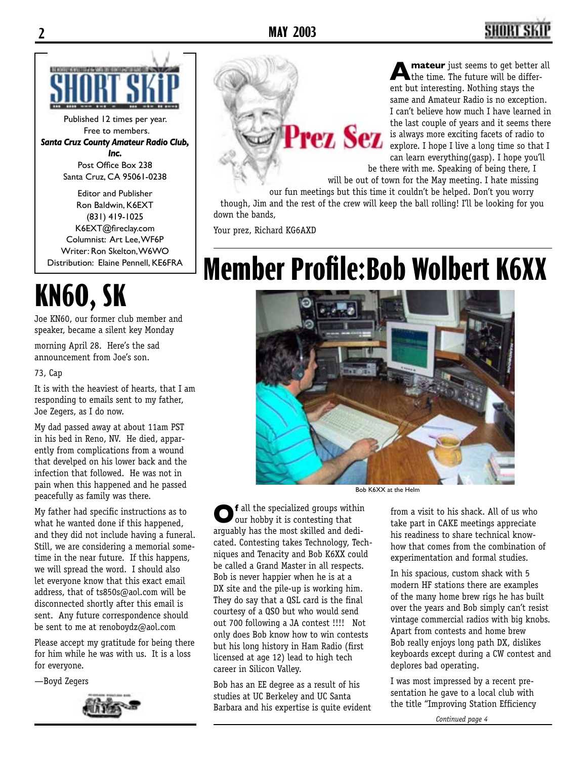

Published 12 times per year. Free to members. *Santa Cruz County Amateur Radio Club, Inc.* Post Office Box 238 Santa Cruz, CA 95061-0238

Editor and Publisher Ron Baldwin, K6EXT (831) 419-1025 K6EXT@fireclay.com Columnist: Art Lee, WF6P Writer: Ron Skelton, W6WO Distribution: Elaine Pennell, KE6FRA

# **KN6O, SK**

Joe KN60, our former club member and speaker, became a silent key Monday

morning April 28. Here's the sad announcement from Joe's son.

#### 73, Cap

It is with the heaviest of hearts, that I am responding to emails sent to my father, Joe Zegers, as I do now.

My dad passed away at about 11am PST in his bed in Reno, NV. He died, apparently from complications from a wound that develped on his lower back and the infection that followed. He was not in pain when this happened and he passed peacefully as family was there.

My father had specific instructions as to what he wanted done if this happened, and they did not include having a funeral. Still, we are considering a memorial sometime in the near future. If this happens, we will spread the word. I should also let everyone know that this exact email address, that of ts850s@aol.com will be disconnected shortly after this email is sent. Any future correspondence should be sent to me at renoboydz@aol.com

Please accept my gratitude for being there for him while he was with us. It is a loss for everyone.

—Boyd Zegers



Prez Sez

**mateur** just seems to get better all the time. The future will be different but interesting. Nothing stays the same and Amateur Radio is no exception. I can't believe how much I have learned in the last couple of years and it seems there is always more exciting facets of radio to explore. I hope I live a long time so that I can learn everything(gasp). I hope you'll

be there with me. Speaking of being there, I will be out of town for the May meeting. I hate missing

our fun meetings but this time it couldn't be helped. Don't you worry though, Jim and the rest of the crew will keep the ball rolling! I'll be looking for you down the bands,

Your prez, Richard KG6AXD

# **Member Profile:Bob Wolbert K6XX**



Bob K6XX at the Helm

**Of** all the specialized groups within our hobby it is contesting that arguably has the most skilled and dedicated. Contesting takes Technology, Techniques and Tenacity and Bob K6XX could be called a Grand Master in all respects. Bob is never happier when he is at a DX site and the pile-up is working him. They do say that a QSL card is the final courtesy of a QSO but who would send out 700 following a JA contest !!!! Not only does Bob know how to win contests but his long history in Ham Radio (first licensed at age 12) lead to high tech career in Silicon Valley.

Bob has an EE degree as a result of his studies at UC Berkeley and UC Santa Barbara and his expertise is quite evident

from a visit to his shack. All of us who take part in CAKE meetings appreciate his readiness to share technical knowhow that comes from the combination of experimentation and formal studies.

In his spacious, custom shack with 5 modern HF stations there are examples of the many home brew rigs he has built over the years and Bob simply can't resist vintage commercial radios with big knobs. Apart from contests and home brew Bob really enjoys long path DX, dislikes keyboards except during a CW contest and deplores bad operating.

I was most impressed by a recent presentation he gave to a local club with the title "Improving Station Efficiency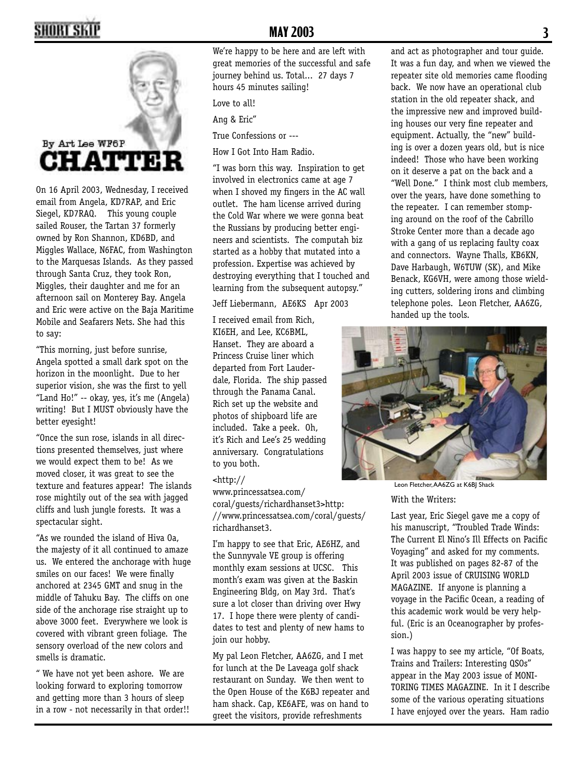## **2 3**



On 16 April 2003, Wednesday, I received email from Angela, KD7RAP, and Eric Siegel, KD7RAQ. This young couple sailed Rouser, the Tartan 37 formerly owned by Ron Shannon, KD6BD, and Miggles Wallace, N6FAC, from Washington to the Marquesas Islands. As they passed through Santa Cruz, they took Ron, Miggles, their daughter and me for an afternoon sail on Monterey Bay. Angela and Eric were active on the Baja Maritime Mobile and Seafarers Nets. She had this to say:

"This morning, just before sunrise, Angela spotted a small dark spot on the horizon in the moonlight. Due to her superior vision, she was the first to yell "Land Ho!" -- okay, yes, it's me (Angela) writing! But I MUST obviously have the better eyesight!

"Once the sun rose, islands in all directions presented themselves, just where we would expect them to be! As we moved closer, it was great to see the texture and features appear! The islands rose mightily out of the sea with jagged cliffs and lush jungle forests. It was a spectacular sight.

"As we rounded the island of Hiva Oa, the majesty of it all continued to amaze us. We entered the anchorage with huge smiles on our faces! We were finally anchored at 2345 GMT and snug in the middle of Tahuku Bay. The cliffs on one side of the anchorage rise straight up to above 3000 feet. Everywhere we look is covered with vibrant green foliage. The sensory overload of the new colors and smells is dramatic.

" We have not yet been ashore. We are looking forward to exploring tomorrow and getting more than 3 hours of sleep in a row - not necessarily in that order!!

We're happy to be here and are left with great memories of the successful and safe journey behind us. Total... 27 days 7 hours 45 minutes sailing!

Love to all!

Ang & Eric"

True Confessions or ---

How I Got Into Ham Radio.

"I was born this way. Inspiration to get involved in electronics came at age 7 when I shoved my fingers in the AC wall outlet. The ham license arrived during the Cold War where we were gonna beat the Russians by producing better engineers and scientists. The computah biz started as a hobby that mutated into a profession. Expertise was achieved by destroying everything that I touched and learning from the subsequent autopsy."

Jeff Liebermann, AE6KS Apr 2003

I received email from Rich, KI6EH, and Lee, KC6BML, Hanset. They are aboard a Princess Cruise liner which departed from Fort Lauderdale, Florida. The ship passed through the Panama Canal. Rich set up the website and photos of shipboard life are included. Take a peek. Oh, it's Rich and Lee's 25 wedding anniversary. Congratulations to you both.

#### <http://

www.princessatsea.com/ coral/guests/richardhanset3>http: //www.princessatsea.com/coral/guests/ richardhanset3.

I'm happy to see that Eric, AE6HZ, and the Sunnyvale VE group is offering monthly exam sessions at UCSC. This month's exam was given at the Baskin Engineering Bldg, on May 3rd. That's sure a lot closer than driving over Hwy 17. I hope there were plenty of candidates to test and plenty of new hams to join our hobby.

My pal Leon Fletcher, AA6ZG, and I met for lunch at the De Laveaga golf shack restaurant on Sunday. We then went to the Open House of the K6BJ repeater and ham shack. Cap, KE6AFE, was on hand to greet the visitors, provide refreshments

and act as photographer and tour guide. It was a fun day, and when we viewed the repeater site old memories came flooding back. We now have an operational club station in the old repeater shack, and the impressive new and improved building houses our very fine repeater and equipment. Actually, the "new" building is over a dozen years old, but is nice indeed! Those who have been working on it deserve a pat on the back and a "Well Done." I think most club members, over the years, have done something to the repeater. I can remember stomping around on the roof of the Cabrillo Stroke Center more than a decade ago with a gang of us replacing faulty coax and connectors. Wayne Thalls, KB6KN, Dave Harbaugh, W6TUW (SK), and Mike Benack, KG6VH, were among those wielding cutters, soldering irons and climbing telephone poles. Leon Fletcher, AA6ZG, handed up the tools.



With the Writers: Leon Fletcher, AA6ZG at K6BJ Shack

Last year, Eric Siegel gave me a copy of his manuscript, "Troubled Trade Winds: The Current El Nino's Ill Effects on Pacific Voyaging" and asked for my comments. It was published on pages 82-87 of the April 2003 issue of CRUISING WORLD MAGAZINE. If anyone is planning a voyage in the Pacific Ocean, a reading of this academic work would be very helpful. (Eric is an Oceanographer by profession.)

I was happy to see my article, "Of Boats, Trains and Trailers: Interesting QSOs" appear in the May 2003 issue of MONI-TORING TIMES MAGAZINE. In it I describe some of the various operating situations I have enjoyed over the years. Ham radio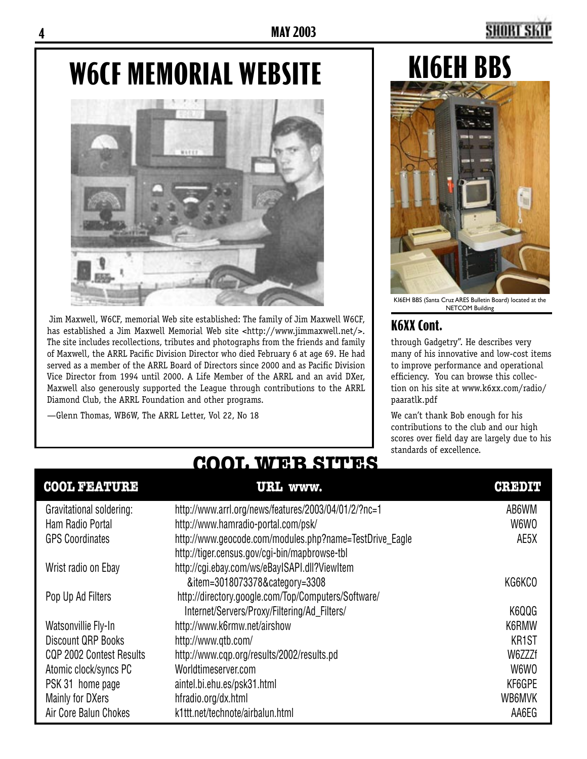# **W6CF MEMORIAL WEBSITE**



 Jim Maxwell, W6CF, memorial Web site established: The family of Jim Maxwell W6CF, has established a Jim Maxwell Memorial Web site <http://www.jimmaxwell.net/>. The site includes recollections, tributes and photographs from the friends and family of Maxwell, the ARRL Pacific Division Director who died February 6 at age 69. He had served as a member of the ARRL Board of Directors since 2000 and as Pacific Division Vice Director from 1994 until 2000. A Life Member of the ARRL and an avid DXer, Maxwell also generously supported the League through contributions to the ARRL Diamond Club, the ARRL Foundation and other programs.

—Glenn Thomas, WB6W, The ARRL Letter, Vol 22, No 18

# **KI6EH BBS**



KI6EH BBS (Santa Cruz ARES Bulletin Board) located at the NETCOM Building

#### **K6XX Cont.**

through Gadgetry". He describes very many of his innovative and low-cost items to improve performance and operational efficiency. You can browse this collection on his site at www.k6xx.com/radio/ paaratlk.pdf

We can't thank Bob enough for his contributions to the club and our high scores over field day are largely due to his standards of excellence.

#### **COOL FEATURE URL www. CREDIT** Gravitational soldering: http://www.arrl.org/news/features/2003/04/01/2/?nc=1 AB6WM Ham Radio Portal **http://www.hamradio-portal.com/psk/** W6WO GPS Coordinates http://www.geocode.com/modules.php?name=TestDrive\_Eagle AE5X http://tiger.census.gov/cgi-bin/mapbrowse-tbl Wrist radio on Ebay http://cgi.ebay.com/ws/eBayISAPI.dll?ViewItem &item=3018073378&category=3308 KG6KCO Pop Up Ad Filters http://directory.google.com/Top/Computers/Software/ Internet/Servers/Proxy/Filtering/Ad\_Filters/ K6QQG Watsonvillie Fly-In http://www.k6rmw.net/airshow known watson was k6RMW Discount QRP Books http://www.qtb.com/ KR1ST CQP 2002 Contest Results http://www.cqp.org/results/2002/results.pd W6ZZZf Atomic clock/syncs PC Worldtimeserver.com W6WO PSK 31 home page aintel.bi.ehu.es/psk31.html and the state of the state of the KF6GPE Mainly for DXers hfradio.org/dx.html WB6MVK Air Core Balun Chokes k1ttt.net/technote/airbalun.html AA6EG

### **COOL WEB SITES**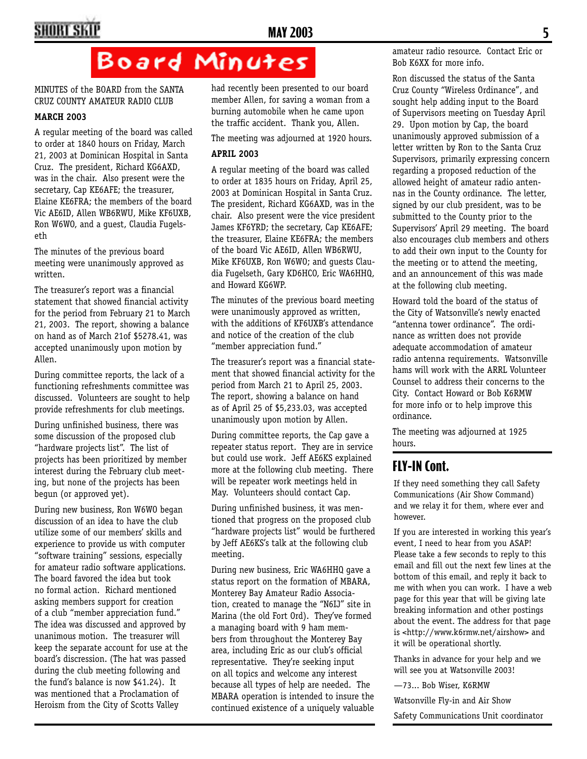## **4 MAY 2003 5**

## Board Minutes

MINUTES of the BOARD from the SANTA CRUZ COUNTY AMATEUR RADIO CLUB

#### **MARCH 2003**

A regular meeting of the board was called to order at 1840 hours on Friday, March 21, 2003 at Dominican Hospital in Santa Cruz. The president, Richard KG6AXD, was in the chair. Also present were the secretary, Cap KE6AFE; the treasurer, Elaine KE6FRA; the members of the board Vic AE6ID, Allen WB6RWU, Mike KF6UXB, Ron W6WO, and a guest, Claudia Fugelseth

The minutes of the previous board meeting were unanimously approved as written.

The treasurer's report was a financial statement that showed financial activity for the period from February 21 to March 21, 2003. The report, showing a balance on hand as of March 21of \$5278.41, was accepted unanimously upon motion by Allen.

During committee reports, the lack of a functioning refreshments committee was discussed. Volunteers are sought to help provide refreshments for club meetings.

During unfinished business, there was some discussion of the proposed club "hardware projects list". The list of projects has been prioritized by member interest during the February club meeting, but none of the projects has been begun (or approved yet).

During new business, Ron W6WO began discussion of an idea to have the club utilize some of our members' skills and experience to provide us with computer "software training" sessions, especially for amateur radio software applications. The board favored the idea but took no formal action. Richard mentioned asking members support for creation of a club "member appreciation fund." The idea was discussed and approved by unanimous motion. The treasurer will keep the separate account for use at the board's discression. (The hat was passed during the club meeting following and the fund's balance is now \$41.24). It was mentioned that a Proclamation of Heroism from the City of Scotts Valley

had recently been presented to our board member Allen, for saving a woman from a burning automobile when he came upon the traffic accident. Thank you, Allen.

The meeting was adjourned at 1920 hours.

#### **APRIL 2003**

A regular meeting of the board was called to order at 1835 hours on Friday, April 25, 2003 at Dominican Hospital in Santa Cruz. The president, Richard KG6AXD, was in the chair. Also present were the vice president James KF6YRD; the secretary, Cap KE6AFE; the treasurer, Elaine KE6FRA; the members of the board Vic AE6ID, Allen WB6RWU, Mike KF6UXB, Ron W6WO; and guests Claudia Fugelseth, Gary KD6HCO, Eric WA6HHQ, and Howard KG6WP.

The minutes of the previous board meeting were unanimously approved as written, with the additions of KF6UXB's attendance and notice of the creation of the club "member appreciation fund."

The treasurer's report was a financial statement that showed financial activity for the period from March 21 to April 25, 2003. The report, showing a balance on hand as of April 25 of \$5,233.03, was accepted unanimously upon motion by Allen.

During committee reports, the Cap gave a repeater status report. They are in service but could use work. Jeff AE6KS explained more at the following club meeting. There will be repeater work meetings held in May. Volunteers should contact Cap.

During unfinished business, it was mentioned that progress on the proposed club "hardware projects list" would be furthered by Jeff AE6KS's talk at the following club meeting.

During new business, Eric WA6HHQ gave a status report on the formation of MBARA, Monterey Bay Amateur Radio Association, created to manage the "N6IJ" site in Marina (the old Fort Ord). They've formed a managing board with 9 ham members from throughout the Monterey Bay area, including Eric as our club's official representative. They're seeking input on all topics and welcome any interest because all types of help are needed. The MBARA operation is intended to insure the continued existence of a uniquely valuable

amateur radio resource. Contact Eric or Bob K6XX for more info.

Ron discussed the status of the Santa Cruz County "Wireless Ordinance", and sought help adding input to the Board of Supervisors meeting on Tuesday April 29. Upon motion by Cap, the board unanimously approved submission of a letter written by Ron to the Santa Cruz Supervisors, primarily expressing concern regarding a proposed reduction of the allowed height of amateur radio antennas in the County ordinance. The letter, signed by our club president, was to be submitted to the County prior to the Supervisors' April 29 meeting. The board also encourages club members and others to add their own input to the County for the meeting or to attend the meeting, and an announcement of this was made at the following club meeting.

Howard told the board of the status of the City of Watsonville's newly enacted "antenna tower ordinance". The ordinance as written does not provide adequate accommodation of amateur radio antenna requirements. Watsonville hams will work with the ARRL Volunteer Counsel to address their concerns to the City. Contact Howard or Bob K6RMW for more info or to help improve this ordinance.

The meeting was adjourned at 1925 hours.

#### **FLY-IN Cont.**

If they need something they call Safety Communications (Air Show Command) and we relay it for them, where ever and however.

If you are interested in working this year's event, I need to hear from you ASAP! Please take a few seconds to reply to this email and fill out the next few lines at the bottom of this email, and reply it back to me with when you can work. I have a web page for this year that will be giving late breaking information and other postings about the event. The address for that page is <http://www.k6rmw.net/airshow> and it will be operational shortly.

Thanks in advance for your help and we will see you at Watsonville 2003!

—73... Bob Wiser, K6RMW

Watsonville Fly-in and Air Show

Safety Communications Unit coordinator